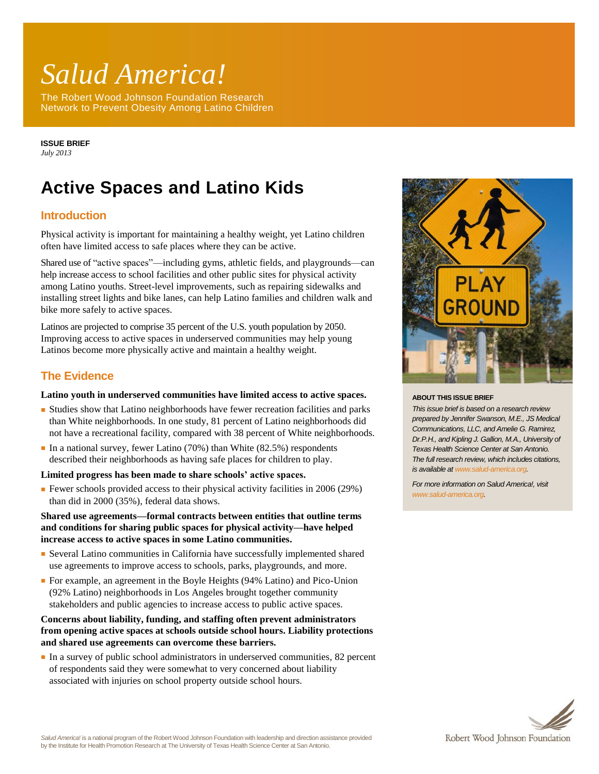# *Salud America!*

The Robert Wood Johnson Foundation Research Network to Prevent Obesity Among Latino Children

**ISSUE BRIEF** *July 2013*

# **Active Spaces and Latino Kids**

# **Introduction**

Physical activity is important for maintaining a healthy weight, yet Latino children often have limited access to safe places where they can be active.

Shared use of "active spaces"—including gyms, athletic fields, and playgrounds—can help increase access to school facilities and other public sites for physical activity among Latino youths. Street-level improvements, such as repairing sidewalks and installing street lights and bike lanes, can help Latino families and children walk and bike more safely to active spaces.

Latinos are projected to comprise 35 percent of the U.S. youth population by 2050. Improving access to active spaces in underserved communities may help young Latinos become more physically active and maintain a healthy weight.

### **The Evidence**

#### **Latino youth in underserved communities have limited access to active spaces.**

- Studies show that Latino neighborhoods have fewer recreation facilities and parks than White neighborhoods. In one study, 81 percent of Latino neighborhoods did not have a recreational facility, compared with 38 percent of White neighborhoods.
- $\blacksquare$  In a national survey, fewer Latino (70%) than White (82.5%) respondents described their neighborhoods as having safe places for children to play.

#### **Limited progress has been made to share schools' active spaces.**

■ Fewer schools provided access to their physical activity facilities in 2006 (29%) than did in 2000 (35%), federal data shows.

**Shared use agreements—formal contracts between entities that outline terms and conditions for sharing public spaces for physical activity—have helped increase access to active spaces in some Latino communities.**

- Several Latino communities in California have successfully implemented shared use agreements to improve access to schools, parks, playgrounds, and more.
- For example, an agreement in the Boyle Heights (94% Latino) and Pico-Union (92% Latino) neighborhoods in Los Angeles brought together community stakeholders and public agencies to increase access to public active spaces.

#### **Concerns about liability, funding, and staffing often prevent administrators from opening active spaces at schools outside school hours. Liability protections and shared use agreements can overcome these barriers.**

■ In a survey of public school administrators in underserved communities, 82 percent of respondents said they were somewhat to very concerned about liability associated with injuries on school property outside school hours.



#### **ABOUT THIS ISSUE BRIEF**

*This issue brief is based on a research review prepared by Jennifer Swanson, M.E., JS Medical Communications, LLC, and Amelie G. Ramirez, Dr.P.H., and Kipling J. Gallion, M.A., University of Texas Health Science Center at San Antonio. The full research review, which includes citations, is available a[t www.salud-america.org.](http://www.salud-america.org/)* 

*For more information on Salud America!, visit [www.salud-america.org.](http://www.salud-america.org/)*